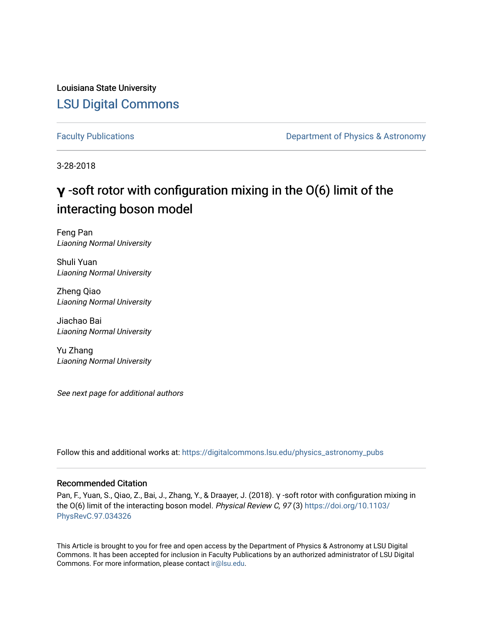Louisiana State University [LSU Digital Commons](https://digitalcommons.lsu.edu/)

[Faculty Publications](https://digitalcommons.lsu.edu/physics_astronomy_pubs) **Exercise 2 and Table 2 and Table 2 and Table 2 and Table 2 and Table 2 and Table 2 and Table 2 and Table 2 and Table 2 and Table 2 and Table 2 and Table 2 and Table 2 and Table 2 and Table 2 and Table** 

3-28-2018

## **γ** -soft rotor with configuration mixing in the O(6) limit of the interacting boson model

Feng Pan Liaoning Normal University

Shuli Yuan Liaoning Normal University

Zheng Qiao Liaoning Normal University

Jiachao Bai Liaoning Normal University

Yu Zhang Liaoning Normal University

See next page for additional authors

Follow this and additional works at: [https://digitalcommons.lsu.edu/physics\\_astronomy\\_pubs](https://digitalcommons.lsu.edu/physics_astronomy_pubs?utm_source=digitalcommons.lsu.edu%2Fphysics_astronomy_pubs%2F1682&utm_medium=PDF&utm_campaign=PDFCoverPages) 

#### Recommended Citation

Pan, F., Yuan, S., Qiao, Z., Bai, J., Zhang, Y., & Draayer, J. (2018). γ -soft rotor with configuration mixing in the O(6) limit of the interacting boson model. Physical Review C, 97 (3) [https://doi.org/10.1103/](https://doi.org/10.1103/PhysRevC.97.034326) [PhysRevC.97.034326](https://doi.org/10.1103/PhysRevC.97.034326) 

This Article is brought to you for free and open access by the Department of Physics & Astronomy at LSU Digital Commons. It has been accepted for inclusion in Faculty Publications by an authorized administrator of LSU Digital Commons. For more information, please contact [ir@lsu.edu](mailto:ir@lsu.edu).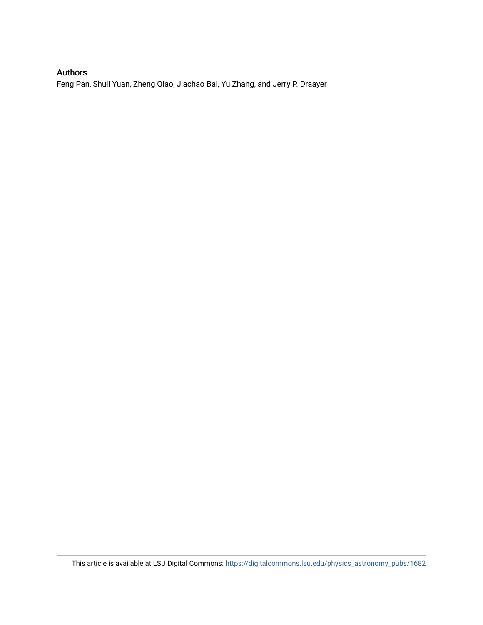### Authors

Feng Pan, Shuli Yuan, Zheng Qiao, Jiachao Bai, Yu Zhang, and Jerry P. Draayer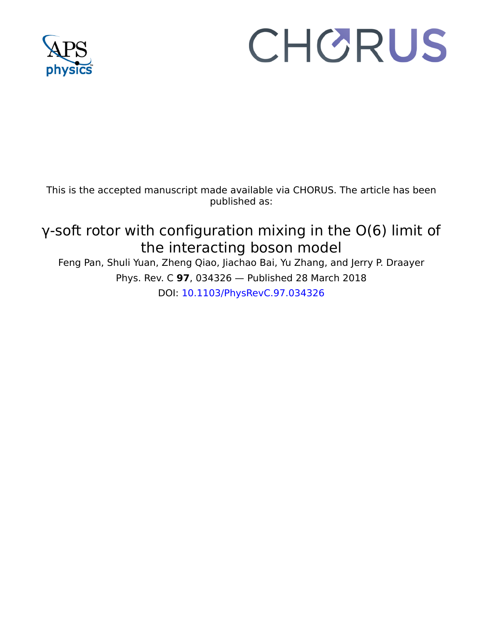

# CHORUS

This is the accepted manuscript made available via CHORUS. The article has been published as:

## γ-soft rotor with configuration mixing in the O(6) limit of the interacting boson model

Feng Pan, Shuli Yuan, Zheng Qiao, Jiachao Bai, Yu Zhang, and Jerry P. Draayer Phys. Rev. C **97**, 034326 — Published 28 March 2018 DOI: [10.1103/PhysRevC.97.034326](http://dx.doi.org/10.1103/PhysRevC.97.034326)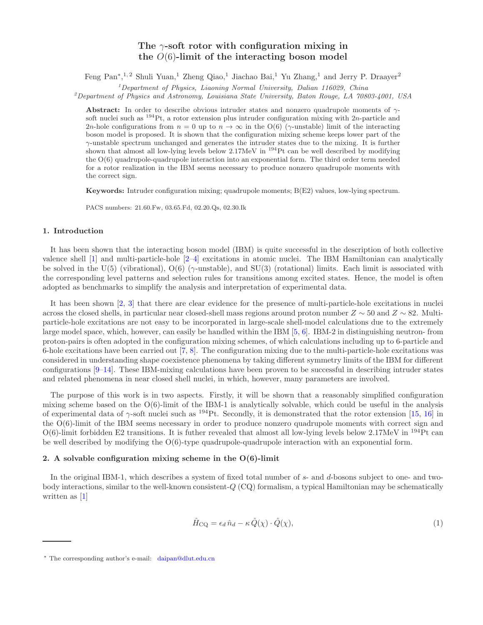#### The  $\gamma$ -soft rotor with configuration mixing in the  $O(6)$ -limit of the interacting boson model

Feng Pan<sup>∗</sup>,<sup>1,2</sup> Shuli Yuan,<sup>1</sup> Zheng Qiao,<sup>1</sup> Jiachao Bai,<sup>1</sup> Yu Zhang,<sup>1</sup> and Jerry P. Draayer<sup>2</sup>

 $1$ Department of Physics, Liaoning Normal University, Dalian 116029, China

<sup>2</sup>Department of Physics and Astronomy, Louisiana State University, Baton Rouge, LA 70803-4001, USA

Abstract: In order to describe obvious intruder states and nonzero quadrupole moments of  $\gamma$ soft nuclei such as  $^{194}$ Pt, a rotor extension plus intruder configuration mixing with 2n-particle and 2n-hole configurations from  $n = 0$  up to  $n \to \infty$  in the O(6) ( $\gamma$ -unstable) limit of the interacting boson model is proposed. It is shown that the configuration mixing scheme keeps lower part of the  $\gamma$ -unstable spectrum unchanged and generates the intruder states due to the mixing. It is further shown that almost all low-lying levels below  $2.17 \text{MeV}$  in  $^{194}$ Pt can be well described by modifying the  $O(6)$  quadrupole-quadrupole interaction into an exponential form. The third order term needed for a rotor realization in the IBM seems necessary to produce nonzero quadrupole moments with the correct sign.

Keywords: Intruder configuration mixing; quadrupole moments; B(E2) values, low-lying spectrum.

PACS numbers: 21.60.Fw, 03.65.Fd, 02.20.Qs, 02.30.Ik

#### 1. Introduction

It has been shown that the interacting boson model (IBM) is quite successful in the description of both collective valence shell [\[1\]](#page-17-0) and multi-particle-hole [\[2](#page-17-1)[–4\]](#page-17-2) excitations in atomic nuclei. The IBM Hamiltonian can analytically be solved in the U(5) (vibrational),  $O(6)$  ( $\gamma$ -unstable), and SU(3) (rotational) limits. Each limit is associated with the corresponding level patterns and selection rules for transitions among excited states. Hence, the model is often adopted as benchmarks to simplify the analysis and interpretation of experimental data.

It has been shown [\[2](#page-17-1), [3\]](#page-17-3) that there are clear evidence for the presence of multi-particle-hole excitations in nuclei across the closed shells, in particular near closed-shell mass regions around proton number  $Z \sim 50$  and  $Z \sim 82$ . Multiparticle-hole excitations are not easy to be incorporated in large-scale shell-model calculations due to the extremely large model space, which, however, can easily be handled within the IBM [\[5,](#page-17-4) [6\]](#page-17-5). IBM-2 in distinguishing neutron- from proton-pairs is often adopted in the configuration mixing schemes, of which calculations including up to 6-particle and 6-hole excitations have been carried out [\[7](#page-17-6), [8\]](#page-17-7). The configuration mixing due to the multi-particle-hole excitations was considered in understanding shape coexistence phenomena by taking different symmetry limits of the IBM for different configurations [\[9](#page-17-8)[–14](#page-17-9)]. These IBM-mixing calculations have been proven to be successful in describing intruder states and related phenomena in near closed shell nuclei, in which, however, many parameters are involved.

The purpose of this work is in two aspects. Firstly, it will be shown that a reasonably simplified configuration mixing scheme based on the  $O(6)$ -limit of the IBM-1 is analytically solvable, which could be useful in the analysis of experimental data of  $\gamma$ -soft nuclei such as  $^{194}$ Pt. Secondly, it is demonstrated that the rotor extension [\[15](#page-17-10), [16\]](#page-17-11) in the O(6)-limit of the IBM seems necessary in order to produce nonzero quadrupole moments with correct sign and  $O(6)$ -limit forbidden E2 transitions. It is futher revealed that almost all low-lying levels below 2.17MeV in <sup>194</sup>Pt can be well described by modifying the  $O(6)$ -type quadrupole-quadrupole interaction with an exponential form.

#### 2. A solvable configuration mixing scheme in the  $O(6)$ -limit

In the original IBM-1, which describes a system of fixed total number of s- and d-bosons subject to one- and twobody interactions, similar to the well-known consistent-Q (CQ) formalism, a typical Hamiltonian may be schematically written as [\[1\]](#page-17-0)

<span id="page-3-0"></span>
$$
\hat{H}_{\text{CQ}} = \epsilon_d \,\hat{n}_d - \kappa \,\hat{Q}(\chi) \cdot \hat{Q}(\chi),\tag{1}
$$

<sup>∗</sup> The corresponding author's e-mail: daipan@dlut.edu.cn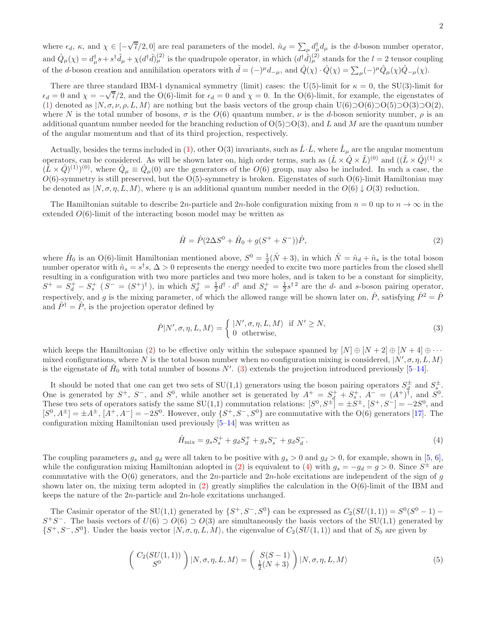where  $\epsilon_d$ ,  $\kappa$ , and  $\chi \in [-\sqrt{7}/2, 0]$  are real parameters of the model,  $\hat{n}_d = \sum_{\mu} d_{\mu}^{\dagger} d_{\mu}$  is the d-boson number operator, and  $\hat{Q}_{\mu}(\chi) = d^{\dagger}_{\mu} s + s^{\dagger} \tilde{d}_{\mu} + \chi (d^{\dagger} \tilde{d})^{(2)}_{\mu}$  is the quadrupole operator, in which  $(d^{\dagger} \tilde{d})^{(2)}_{\mu}$  stands for the  $l = 2$  tensor coupling of the *d*-boson creation and annihilation operators with  $\tilde{d} = (-)^{\mu} d_{-\mu}$ , and  $\hat{Q}(\chi) \cdot \hat{Q}(\chi) = \sum_{\mu} (-)^{\mu} \hat{Q}_{\mu}(\chi) \hat{Q}_{-\mu}(\chi)$ .

There are three standard IBM-1 dynamical symmetry (limit) cases: the U(5)-limit for  $\kappa = 0$ , the SU(3)-limit for  $\epsilon_d = 0$  and  $\chi = -\sqrt{7}/2$ , and the O(6)-limit for  $\epsilon_d = 0$  and  $\chi = 0$ . In the O(6)-limit, for example, the eigenstates of [\(1\)](#page-3-0) denoted as  $|N, \sigma, \nu, \rho, L, M\rangle$  are nothing but the basis vectors of the group chain U(6)⊃O(6)⊃O(5)⊃O(3)⊃O(2), where N is the total number of bosons,  $\sigma$  is the  $O(6)$  quantum number,  $\nu$  is the d-boson seniority number,  $\rho$  is an additional quantum number needed for the branching reduction of  $O(5) \supset O(3)$ , and L and M are the quantum number of the angular momentum and that of its third projection, respectively.

Actually, besides the terms included in [\(1\)](#page-3-0), other O(3) invariants, such as  $\hat{L} \cdot \hat{L}$ , where  $\hat{L}_{\mu}$  are the angular momentum operators, can be considered. As will be shown later on, high order terms, such as  $(\hat{L} \times \hat{Q} \times \hat{L})^{(0)}$  and  $((\hat{L} \times \hat{Q})^{(1)} \times$  $(\hat{L} \times \hat{Q})^{(1)}$ <sup>(0)</sup>, where  $\hat{Q}_{\mu} \equiv \hat{Q}_{\mu}(0)$  are the generators of the  $O(6)$  group, may also be included. In such a case, the  $O(6)$ -symmetry is still preserved, but the O(5)-symmetry is broken. Eigenstates of such O(6)-limit Hamiltonian may be denoted as  $|N, \sigma, \eta, L, M\rangle$ , where  $\eta$  is an additional quantum number needed in the  $O(6) \downarrow O(3)$  reduction.

The Hamiltonian suitable to describe 2n-particle and 2n-hole configuration mixing from  $n = 0$  up to  $n \to \infty$  in the extended  $O(6)$ -limit of the interacting boson model may be written as

<span id="page-4-0"></span>
$$
\hat{H} = \hat{P}(2\Delta S^0 + \hat{H}_0 + g(S^+ + S^-))\hat{P},\tag{2}
$$

where  $\hat{H}_0$  is an O(6)-limit Hamiltonian mentioned above,  $S^0 = \frac{1}{2}(\hat{N} + 3)$ , in which  $\hat{N} = \hat{n}_d + \hat{n}_s$  is the total boson number operator with  $\hat{n}_s = s^{\dagger} s$ ,  $\Delta > 0$  represents the energy needed to excite two more particles from the closed shell resulting in a configuration with two more particles and two more holes, and is taken to be a constant for simplicity,  $S^+ = S_d^+ - S_s^+$  ( $S^- = (S^+)^{\dagger}$ ), in which  $S_d^+ = \frac{1}{2}d^{\dagger} \cdot d^{\dagger}$  and  $S_s^+ = \frac{1}{2}s^{\dagger}$  are the d- and s-boson pairing operator, respectively, and g is the mixing parameter, of which the allowed range will be shown later on,  $\hat{P}$ , satisfying  $\hat{P}^2 = \hat{P}$ and  $\hat{P}^{\dagger} = \hat{P}$ , is the projection operator defined by

<span id="page-4-1"></span>
$$
\hat{P}|N',\sigma,\eta,L,M\rangle = \begin{cases} |N',\sigma,\eta,L,M\rangle & \text{if } N' \ge N, \\ 0 & \text{otherwise,} \end{cases}
$$
 (3)

which keeps the Hamiltonian [\(2\)](#page-4-0) to be effective only within the subspace spanned by  $[N] \oplus [N+2] \oplus [N+4] \oplus \cdots$ mixed configurations, where N is the total boson number when no configuration mixing is considered,  $|N', \sigma, \eta, L, M\rangle$ is the eigenstate of  $\hat{H}_0$  with total number of bosons N'. [\(3\)](#page-4-1) extends the projection introduced previously [\[5](#page-17-4)[–14\]](#page-17-9).

It should be noted that one can get two sets of SU(1,1) generators using the boson pairing operators  $S_d^{\pm}$  and  $S_s^{\pm}$ . One is generated by  $S^+$ ,  $S^-$ , and  $S^0$ , while another set is generated by  $A^+ = S_d^+ + S_s^+$ ,  $A^- = (A^+)^{\dagger}$ , and  $S^0$ . These two sets of operators satisfy the same  $SU(1,1)$  commutation relations:  $[S^0, S^{\pm}] = \pm S^{\pm}$ ,  $[S^+, S^-] = -2S^0$ , and  $[S^0, A^{\pm}] = \pm A^{\pm}, [A^+, A^-] = -2S^0$ . However, only  $\{S^+, S^-, S^0\}$  are commutative with the O(6) generators [\[17](#page-17-12)]. The configuration mixing Hamiltonian used previously [\[5](#page-17-4)[–14\]](#page-17-9) was written as

<span id="page-4-2"></span>
$$
\hat{H}_{\text{mix}} = g_s S_s^+ + g_d S_d^+ + g_s S_s^- + g_d S_d^-.
$$
\n(4)

The coupling parameters  $g_s$  and  $g_d$  were all taken to be positive with  $g_s > 0$  and  $g_d > 0$ , for example, shown in [\[5,](#page-17-4) [6\]](#page-17-5), while the configuration mixing Hamiltonian adopted in [\(2\)](#page-4-0) is equivalent to [\(4\)](#page-4-2) with  $g_s = -g_d = g > 0$ . Since  $S^{\pm}$  are commutative with the  $O(6)$  generators, and the 2n-particle and 2n-hole excitations are independent of the sign of q shown later on, the mixing term adopted in  $(2)$  greatly simplifies the calculation in the  $O(6)$ -limit of the IBM and keeps the nature of the 2n-particle and 2n-hole excitations unchanged.

The Casimir operator of the SU(1,1) generated by  $\{S^+, S^-, S^0\}$  can be expressed as  $C_2(SU(1, 1)) = S^0(S^0 - 1) S^+S^-$ . The basis vectors of  $U(6) \supset O(6) \supset O(3)$  are simultaneously the basis vectors of the SU(1,1) generated by  $\{S^+, S^-, S^0\}$ . Under the basis vector  $|N, \sigma, \eta, L, M\rangle$ , the eigenvalue of  $C_2(SU(1, 1))$  and that of  $S_0$  are given by

$$
\begin{pmatrix} C_2(SU(1,1)) \\ S^0 \end{pmatrix} | N, \sigma, \eta, L, M \rangle = \begin{pmatrix} S(S-1) \\ \frac{1}{2}(N+3) \end{pmatrix} | N, \sigma, \eta, L, M \rangle \tag{5}
$$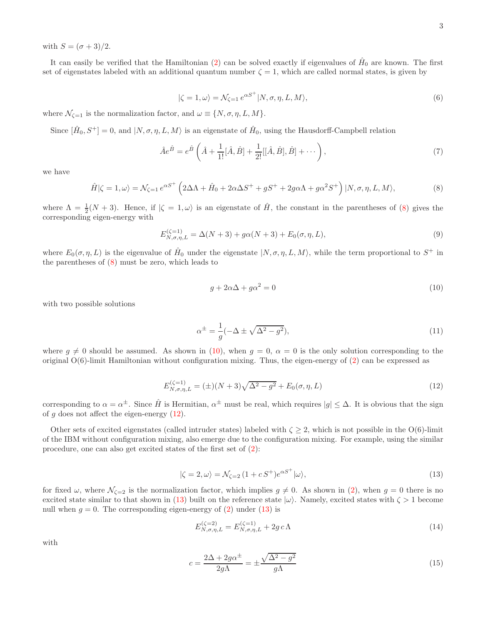with  $S = (\sigma + 3)/2$ .

It can easily be verified that the Hamiltonian [\(2\)](#page-4-0) can be solved exactly if eigenvalues of  $\hat{H}_0$  are known. The first set of eigenstates labeled with an additional quantum number  $\zeta = 1$ , which are called normal states, is given by

<span id="page-5-7"></span>
$$
|\zeta = 1, \omega\rangle = \mathcal{N}_{\zeta=1} e^{\alpha S^+} |N, \sigma, \eta, L, M\rangle, \tag{6}
$$

where  $\mathcal{N}_{\zeta=1}$  is the normalization factor, and  $\omega \equiv \{N, \sigma, \eta, L, M\}.$ 

Since  $[\hat{H}_0, S^+] = 0$ , and  $|N, \sigma, \eta, L, M\rangle$  is an eigenstate of  $\hat{H}_0$ , using the Hausdorff-Campbell relation

$$
\hat{A}e^{\hat{B}} = e^{\hat{B}} \left( \hat{A} + \frac{1}{1!} [\hat{A}, \hat{B}] + \frac{1}{2!} [[\hat{A}, \hat{B}], \hat{B}] + \cdots \right),\tag{7}
$$

we have

<span id="page-5-0"></span>
$$
\hat{H}|\zeta=1,\omega\rangle = \mathcal{N}_{\zeta=1}e^{\alpha S^{+}}\left(2\Delta\Lambda + \hat{H}_{0} + 2\alpha\Delta S^{+} + gS^{+} + 2g\alpha\Lambda + g\alpha^{2}S^{+}\right)|N,\sigma,\eta,L,M\rangle, \tag{8}
$$

where  $\Lambda = \frac{1}{2}(N+3)$ . Hence, if  $|\zeta = 1, \omega\rangle$  is an eigenstate of  $\hat{H}$ , the constant in the parentheses of [\(8\)](#page-5-0) gives the corresponding eigen-energy with

$$
E_{N,\sigma,\eta,L}^{(\zeta=1)} = \Delta(N+3) + g\alpha(N+3) + E_0(\sigma,\eta,L),
$$
\n(9)

where  $E_0(\sigma, \eta, L)$  is the eigenvalue of  $\hat{H}_0$  under the eigenstate  $|N, \sigma, \eta, L, M\rangle$ , while the term proportional to  $S^+$  in the parentheses of [\(8\)](#page-5-0) must be zero, which leads to

<span id="page-5-1"></span>
$$
g + 2\alpha \Delta + g\alpha^2 = 0\tag{10}
$$

with two possible solutions

<span id="page-5-6"></span>
$$
\alpha^{\pm} = \frac{1}{g}(-\Delta \pm \sqrt{\Delta^2 - g^2}),\tag{11}
$$

where  $g \neq 0$  should be assumed. As shown in [\(10\)](#page-5-1), when  $g = 0$ ,  $\alpha = 0$  is the only solution corresponding to the original  $O(6)$ -limit Hamiltonian without configuration mixing. Thus, the eigen-energy of [\(2\)](#page-4-0) can be expressed as

<span id="page-5-2"></span>
$$
E_{N,\sigma,\eta,L}^{(\zeta=1)} = (\pm)(N+3)\sqrt{\Delta^2 - g^2} + E_0(\sigma,\eta,L)
$$
\n(12)

corresponding to  $\alpha = \alpha^{\pm}$ . Since  $\hat{H}$  is Hermitian,  $\alpha^{\pm}$  must be real, which requires  $|g| \leq \Delta$ . It is obvious that the sign of q does not affect the eigen-energy  $(12)$ .

Other sets of excited eigenstates (called intruder states) labeled with  $\zeta \geq 2$ , which is not possible in the O(6)-limit of the IBM without configuration mixing, also emerge due to the configuration mixing. For example, using the similar procedure, one can also get excited states of the first set of [\(2\)](#page-4-0):

<span id="page-5-3"></span>
$$
|\zeta = 2, \omega\rangle = \mathcal{N}_{\zeta=2} \left( 1 + c \, S^+ \right) e^{\alpha S^+} |\omega\rangle,\tag{13}
$$

for fixed  $\omega$ , where  $\mathcal{N}_{\zeta=2}$  is the normalization factor, which implies  $g \neq 0$ . As shown in [\(2\)](#page-4-0), when  $g = 0$  there is no excited state similar to that shown in [\(13\)](#page-5-3) built on the reference state  $|\omega\rangle$ . Namely, excited states with  $\zeta > 1$  become null when  $g = 0$ . The corresponding eigen-energy of  $(2)$  under  $(13)$  is

<span id="page-5-5"></span>
$$
E_{N,\sigma,\eta,L}^{(\zeta=2)} = E_{N,\sigma,\eta,L}^{(\zeta=1)} + 2g c \Lambda
$$
\n(14)

with

<span id="page-5-4"></span>
$$
c = \frac{2\Delta + 2g\alpha^{\pm}}{2g\Lambda} = \pm \frac{\sqrt{\Delta^2 - g^2}}{g\Lambda}
$$
\n(15)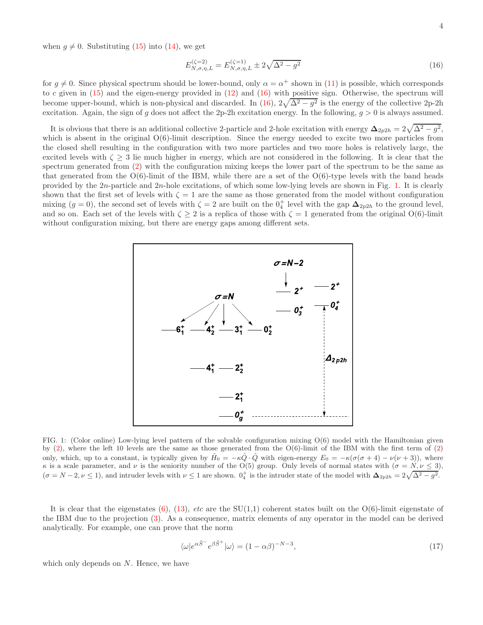when  $g \neq 0$ . Substituting [\(15\)](#page-5-4) into [\(14\)](#page-5-5), we get

<span id="page-6-0"></span>
$$
E_{N,\sigma,\eta,L}^{(\zeta=2)} = E_{N,\sigma,\eta,L}^{(\zeta=1)} \pm 2\sqrt{\Delta^2 - g^2}
$$
\n(16)

for  $g \neq 0$ . Since physical spectrum should be lower-bound, only  $\alpha = \alpha^+$  shown in [\(11\)](#page-5-6) is possible, which corresponds to c given in  $(15)$  and the eigen-energy provided in  $(12)$  and  $(16)$  with positive sign. Otherwise, the spectrum will become upper-bound, which is non-physical and discarded. In [\(16\)](#page-6-0),  $2\sqrt{\Delta^2 - g^2}$  is the energy of the collective 2p-2h excitation. Again, the sign of g does not affect the 2p-2h excitation energy. In the following,  $g > 0$  is always assumed.

It is obvious that there is an additional collective 2-particle and 2-hole excitation with energy  $\Delta_{2p2h} = 2\sqrt{\Delta^2 - g^2}$ , which is absent in the original  $O(6)$ -limit description. Since the energy needed to excite two more particles from the closed shell resulting in the configuration with two more particles and two more holes is relatively large, the excited levels with  $\zeta \geq 3$  lie much higher in energy, which are not considered in the following. It is clear that the spectrum generated from [\(2\)](#page-4-0) with the configuration mixing keeps the lower part of the spectrum to be the same as that generated from the  $O(6)$ -limit of the IBM, while there are a set of the  $O(6)$ -type levels with the band heads provided by the  $2n$ -particle and  $2n$ -hole excitations, of which some low-lying levels are shown in Fig. [1.](#page-6-1) It is clearly shown that the first set of levels with  $\zeta = 1$  are the same as those generated from the model without configuration mixing  $(g = 0)$ , the second set of levels with  $\zeta = 2$  are built on the  $0^+_4$  level with the gap  $\Delta_{2p2h}$  to the ground level, and so on. Each set of the levels with  $\zeta \geq 2$  is a replica of those with  $\zeta = 1$  generated from the original O(6)-limit without configuration mixing, but there are energy gaps among different sets.



<span id="page-6-1"></span>FIG. 1: (Color online) Low-lying level pattern of the solvable configuration mixing O(6) model with the Hamiltonian given by  $(2)$ , where the left 10 levels are the same as those generated from the  $O(6)$ -limit of the IBM with the first term of  $(2)$ only, which, up to a constant, is typically given by  $\hat{H}_0 = -\kappa \hat{Q} \cdot \hat{Q}$  with eigen-energy  $E_0 = -\kappa (\sigma(\sigma+4) - \nu(\nu+3))$ , where  $κ$  is a scale parameter, and  $ν$  is the seniority number of the O(5) group. Only levels of normal states with  $(σ = N, ν ≤ 3)$ ,  $(\sigma = N - 2, \nu \le 1)$ , and intruder levels with  $\nu \le 1$  are shown.  $0^+_4$  is the intruder state of the model with  $\Delta_{2p2h} = 2\sqrt{\Delta^2 - g^2}$ .

It is clear that the eigenstates  $(6)$ ,  $(13)$ , *etc* are the SU(1,1) coherent states built on the O(6)-limit eigenstate of the IBM due to the projection [\(3\)](#page-4-1). As a consequence, matrix elements of any operator in the model can be derived analytically. For example, one can prove that the norm

$$
\langle \omega | e^{\alpha \tilde{S}^-} e^{\beta \tilde{S}^+} | \omega \rangle = (1 - \alpha \beta)^{-N - 3}, \qquad (17)
$$

which only depends on  $N$ . Hence, we have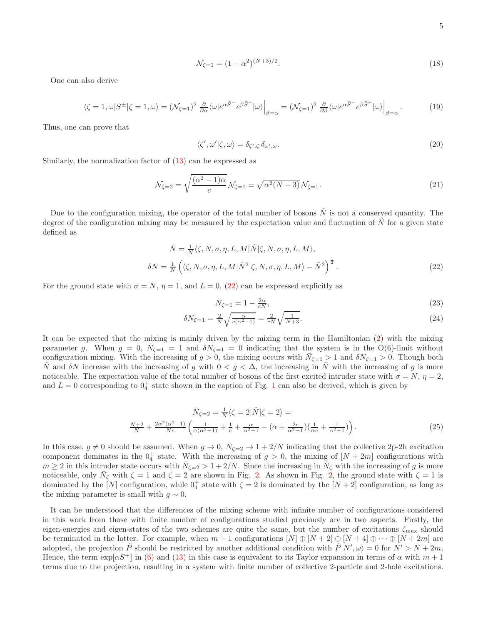$$
\mathcal{N}_{\zeta=1} = (1 - \alpha^2)^{(N+3)/2}.\tag{18}
$$

One can also derive

$$
\langle \zeta = 1, \omega | S^{\pm} | \zeta = 1, \omega \rangle = (\mathcal{N}_{\zeta=1})^2 \frac{\partial}{\partial \alpha} \langle \omega | e^{\alpha \tilde{S}^-} e^{\beta \tilde{S}^+} | \omega \rangle \Big|_{\beta=\alpha} = (\mathcal{N}_{\zeta=1})^2 \frac{\partial}{\partial \beta} \langle \omega | e^{\alpha \tilde{S}^-} e^{\beta \tilde{S}^+} | \omega \rangle \Big|_{\beta=\alpha} . \tag{19}
$$

Thus, one can prove that

$$
\langle \zeta', \omega' | \zeta, \omega \rangle = \delta_{\zeta', \zeta} \, \delta_{\omega', \omega}.\tag{20}
$$

Similarly, the normalization factor of [\(13\)](#page-5-3) can be expressed as

$$
\mathcal{N}_{\zeta=2} = \sqrt{\frac{(\alpha^2 - 1)\alpha}{c}} \mathcal{N}_{\zeta=1} = \sqrt{\alpha^2 (N+3)} \mathcal{N}_{\zeta=1}.
$$
\n(21)

Due to the configuration mixing, the operator of the total number of bosons  $\hat{N}$  is not a conserved quantity. The degree of the configuration mixing may be measured by the expectation value and fluctuation of  $\hat{N}$  for a given state defined as

<span id="page-7-0"></span>
$$
\bar{N} = \frac{1}{N} \langle \zeta, N, \sigma, \eta, L, M | \hat{N} | \zeta, N, \sigma, \eta, L, M \rangle,
$$
  
\n
$$
\delta N = \frac{1}{N} \left( \langle \zeta, N, \sigma, \eta, L, M | \hat{N}^2 | \zeta, N, \sigma, \eta, L, M \rangle - \bar{N}^2 \right)^{\frac{1}{2}}.
$$
\n(22)

For the ground state with  $\sigma = N$ ,  $\eta = 1$ , and  $L = 0$ , [\(22\)](#page-7-0) can be expressed explicitly as

$$
\bar{N}_{\zeta=1} = 1 - \frac{2\alpha}{cN},\tag{23}
$$

<span id="page-7-1"></span>
$$
\delta N_{\zeta=1} = \frac{2}{N} \sqrt{\frac{\alpha}{c(\alpha^2 - 1)}} = \frac{2}{cN} \sqrt{\frac{1}{N+3}}.
$$
\n(24)

It can be expected that the mixing is mainly driven by the mixing term in the Hamiltonian [\(2\)](#page-4-0) with the mixing parameter g. When  $g = 0$ ,  $\bar{N}_{\zeta=1} = 1$  and  $\delta N_{\zeta=1} = 0$  indicating that the system is in the  $O(6)$ -limit without configuration mixing. With the increasing of  $g > 0$ , the mixing occurs with  $\bar{N}_{\zeta=1} > 1$  and  $\delta N_{\zeta=1} > 0$ . Though both  $\overline{N}$  and  $\delta N$  increase with the increasing of g with  $0 < g < \Delta$ , the increasing in  $\overline{N}$  with the increasing of g is more noticeable. The expectation value of the total number of bosons of the first excited intruder state with  $\sigma = N$ ,  $\eta = 2$ , and  $L = 0$  corresponding to  $0<sub>4</sub><sup>+</sup>$  state shown in the caption of Fig. [1](#page-6-1) can also be derived, which is given by

<span id="page-7-2"></span>
$$
\bar{N}_{\zeta=2} = \frac{1}{N} \langle \zeta = 2 | \hat{N} | \zeta = 2 \rangle =
$$
\n
$$
\frac{N+2}{N} + \frac{2\alpha^2 (\alpha^2 - 1)}{Nc} \left( \frac{1}{\alpha (\alpha^2 - 1)} + \frac{1}{c} + \frac{\alpha}{\alpha^2 - 1} - (\alpha + \frac{2c}{\alpha^2 - 1})(\frac{1}{\alpha c} + \frac{1}{\alpha^2 - 1}) \right).
$$
\n(25)

In this case,  $g \neq 0$  should be assumed. When  $g \to 0$ ,  $\bar{N}_{\zeta=2} \to 1 + 2/N$  indicating that the collective 2p-2h excitation component dominates in the  $0^+_4$  state. With the increasing of  $g > 0$ , the mixing of  $[N + 2m]$  configurations with  $m \geq 2$  in this intruder state occurs with  $\bar{N}_{\zeta=2} > 1 + 2/N$ . Since the increasing in  $\bar{N}_{\zeta}$  with the increasing of g is more noticeable, only  $\bar{N}_{\zeta}$  with  $\zeta = 1$  and  $\zeta = 2$  are shown in Fig. [2.](#page-8-0) As shown in Fig. [2,](#page-8-0) the ground state with  $\zeta = 1$  is dominated by the  $[N]$  configuration, while  $0^+_4$  state with  $\zeta = 2$  is dominated by the  $[N + 2]$  configuration, as long as the mixing parameter is small with  $g \sim 0$ .

It can be understood that the differences of the mixing scheme with infinite number of configurations considered in this work from those with finite number of configurations studied previously are in two aspects. Firstly, the eigen-energies and eigen-states of the two schemes are quite the same, but the number of excitations  $\zeta_{\text{max}}$  should be terminated in the latter. For example, when  $m + 1$  configurations  $[N] \oplus [N + 2] \oplus [N + 4] \oplus \cdots \oplus [N + 2m]$  are adopted, the projection  $\hat{P}$  should be restricted by another additional condition with  $\hat{P}|N',\omega\rangle = 0$  for  $N' > N + 2m$ . Hence, the term  $\exp[\alpha S^+]$  in [\(6\)](#page-5-7) and [\(13\)](#page-5-3) in this case is equivalent to its Taylor expansion in terms of  $\alpha$  with  $m+1$ terms due to the projection, resulting in a system with finite number of collective 2-particle and 2-hole excitations.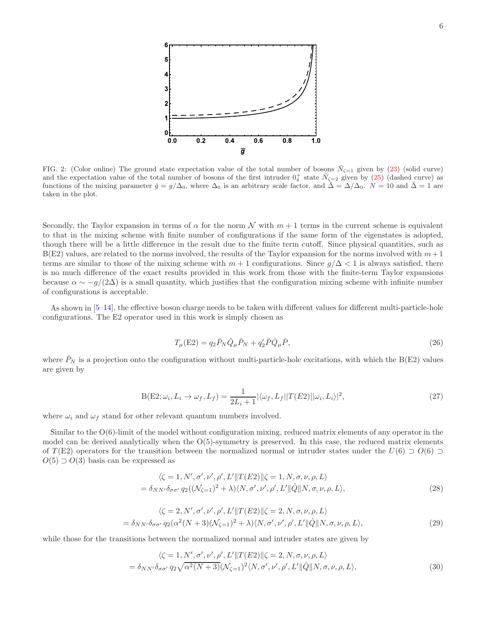

<span id="page-8-0"></span>FIG. 2: (Color online) The ground state expectation value of the total number of bosons  $\bar{N}_{\zeta=1}$  given by [\(23\)](#page-7-1) (solid curve) and the expectation value of the total number of bosons of the first intruder  $0^+_4$  state  $\bar{N}_{\zeta=2}$  given by [\(25\)](#page-7-2) (dashed curve) as functions of the mixing parameter  $\bar{g} = g/\Delta_0$ , where  $\Delta_0$  is an arbitrary scale factor, and  $\bar{\Delta} = \Delta/\Delta_0$ .  $N = 10$  and  $\bar{\Delta} = 1$  are taken in the plot.

Secondly, the Taylor expansion in terms of  $\alpha$  for the norm N with  $m + 1$  terms in the current scheme is equivalent to that in the mixing scheme with finite number of configurations if the same form of the eigenstates is adopted, though there will be a little difference in the result due to the finite term cutoff. Since physical quantities, such as  $B(E2)$  values, are related to the norms involved, the results of the Taylor expansion for the norms involved with  $m+1$ terms are similar to those of the mixing scheme with  $m + 1$  configurations. Since  $g/\Delta < 1$  is always satisfied, there is no much difference of the exact results provided in this work from those with the finite-term Taylor expansions because  $\alpha \sim -g/(2\Delta)$  is a small quantity, which justifies that the configuration mixing scheme with infinite number of configurations is acceptable.

As shown in [\[5](#page-17-4)[–14](#page-17-9)], the effective boson charge needs to be taken with different values for different multi-particle-hole configurations. The E2 operator used in this work is simply chosen as

$$
T_{\mu}(\text{E2}) = q_2 \hat{P}_N \hat{Q}_{\mu} \hat{P}_N + q_2' \hat{P} \hat{Q}_{\mu} \hat{P},\tag{26}
$$

where  $\hat{P}_N$  is a projection onto the configuration without multi-particle-hole excitations, with which the B(E2) values are given by

$$
B(E2; \omega_i, L_i \to \omega_f, L_f) = \frac{1}{2L_i + 1} |\langle \omega_f, L_f || T(E2) || \omega_i, L_i \rangle|^2,
$$
\n(27)

where  $\omega_i$  and  $\omega_f$  stand for other relevant quantum numbers involved.

Similar to the O(6)-limit of the model without configuration mixing, reduced matrix elements of any operator in the model can be derived analytically when the  $O(5)$ -symmetry is preserved. In this case, the reduced matrix elements of T(E2) operators for the transition between the normalized normal or intruder states under the  $U(6) \supset O(6) \supset$  $O(5) \supset O(3)$  basis can be expressed as

<span id="page-8-1"></span>
$$
\langle \zeta = 1, N', \sigma', \nu', \rho', L' || T(E2) || \zeta = 1, N, \sigma, \nu, \rho, L \rangle
$$
  
=  $\delta_{NN'} \delta_{\sigma\sigma'} q_2((\mathcal{N}_{\zeta=1})^2 + \lambda) \langle N, \sigma', \nu', \rho', L' || \hat{Q} || N, \sigma, \nu, \rho, L \rangle,$  (28)

$$
\langle \zeta = 2, N', \sigma', \nu', \rho', L' || T(E2) || \zeta = 2, N, \sigma, \nu, \rho, L \rangle
$$
  
=  $\delta_{NN'} \delta_{\sigma \sigma'} q_2 (\alpha^2 (N+3) (\mathcal{N}_{\zeta=1})^2 + \lambda) \langle N, \sigma', \nu', \rho', L' || \hat{Q} || N, \sigma, \nu, \rho, L \rangle,$  (29)

while those for the transitions between the normalized normal and intruder states are given by

<span id="page-8-2"></span>
$$
\langle \zeta = 1, N', \sigma', \nu', \rho', L' || T(E2) || \zeta = 2, N, \sigma, \nu, \rho, L \rangle
$$
  
=  $\delta_{NN'} \delta_{\sigma \sigma'} q_2 \sqrt{\alpha^2 (N+3)} (\mathcal{N}_{\zeta=1})^2 \langle N, \sigma', \nu', \rho', L' || \hat{Q} || N, \sigma, \nu, \rho, L \rangle,$  (30)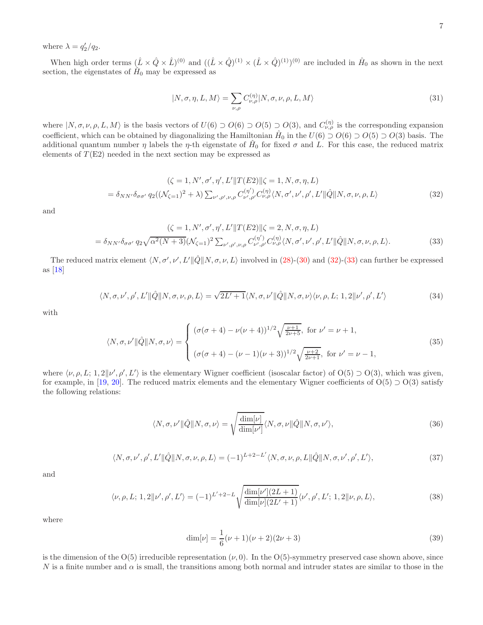where  $\lambda = q'_2/q_2$ .

When high order terms  $(\hat{L} \times \hat{Q} \times \hat{L})^{(0)}$  and  $((\hat{L} \times \hat{Q})^{(1)} \times (\hat{L} \times \hat{Q})^{(1)})^{(0)}$  are included in  $\hat{H}_0$  as shown in the next section, the eigenstates of  $\hat{H}_0$  may be expressed as

<span id="page-9-2"></span>
$$
|N, \sigma, \eta, L, M\rangle = \sum_{\nu, \rho} C_{\nu, \rho}^{(\eta)} |N, \sigma, \nu, \rho, L, M\rangle
$$
\n(31)

where  $|N, \sigma, \nu, \rho, L, M\rangle$  is the basis vectors of  $U(6) \supset O(6) \supset O(5) \supset O(3)$ , and  $C_{\nu,\rho}^{(\eta)}$  is the corresponding expansion coefficient, which can be obtained by diagonalizing the Hamiltonian  $\hat{H}_0$  in the  $U(6) \supset O(6) \supset O(5) \supset O(3)$  basis. The additional quantum number  $\eta$  labels the  $\eta$ -th eigenstate of  $\hat{H}_0$  for fixed  $\sigma$  and  $\hat{L}$ . For this case, the reduced matrix elements of  $T(E2)$  needed in the next section may be expressed as

<span id="page-9-0"></span>
$$
(\zeta = 1, N', \sigma', \eta', L' || T(E2) || \zeta = 1, N, \sigma, \eta, L)
$$
  
=  $\delta_{NN'} \delta_{\sigma\sigma'} q_2((\mathcal{N}_{\zeta=1})^2 + \lambda) \sum_{\nu', \rho', \nu, \rho} C_{\nu', \rho'}^{(\eta')} C_{\nu, \rho}^{(\eta)} \langle N, \sigma', \nu', \rho', L' || \hat{Q} || N, \sigma, \nu, \rho, L)$  (32)

and

<span id="page-9-1"></span>
$$
(\zeta = 1, N', \sigma', \eta', L' || T(E2) || \zeta = 2, N, \sigma, \eta, L)
$$
  
=  $\delta_{NN'} \delta_{\sigma \sigma'} q_2 \sqrt{\alpha^2 (N+3)} (\mathcal{N}_{\zeta=1})^2 \sum_{\nu', \rho', \nu, \rho} C_{\nu', \rho'}^{(\eta')} C_{\nu, \rho}^{(\eta)} \langle N, \sigma', \nu', \rho', L' || \hat{Q} || N, \sigma, \nu, \rho, L \rangle.$  (33)

The reduced matrix element  $\langle N, \sigma', \nu', L' \rangle \|\hat{Q}\| N, \sigma, \nu, L \rangle$  involved in [\(28\)](#page-8-1)-[\(30\)](#page-8-2) and [\(32\)](#page-9-0)-[\(33\)](#page-9-1) can further be expressed as [\[18\]](#page-17-13)

$$
\langle N, \sigma, \nu', \rho', L' \|\hat{Q}\|N, \sigma, \nu, \rho, L \rangle = \sqrt{2L' + 1} \langle N, \sigma, \nu' \|\hat{Q}\|N, \sigma, \nu \rangle \langle \nu, \rho, L; 1, 2\|\nu', \rho', L' \rangle
$$
\n(34)

with

$$
\langle N, \sigma, \nu' || \hat{Q} || N, \sigma, \nu \rangle = \begin{cases} (\sigma(\sigma+4) - \nu(\nu+4))^{1/2} \sqrt{\frac{\nu+1}{2\nu+5}}, & \text{for } \nu' = \nu+1, \\ (\sigma(\sigma+4) - (\nu-1)(\nu+3))^{1/2} \sqrt{\frac{\nu+2}{2\nu+1}}, & \text{for } \nu' = \nu-1, \end{cases}
$$
(35)

where  $\langle \nu, \rho, L; 1, 2 | \nu', \rho', L' \rangle$  is the elementary Wigner coefficient (isoscalar factor) of  $O(5) \supset O(3)$ , which was given, for example, in [\[19](#page-17-14), [20\]](#page-17-15). The reduced matrix elements and the elementary Wigner coefficients of  $O(5) \supset O(3)$  satisfy the following relations:

$$
\langle N, \sigma, \nu' \|\hat{Q}\|N, \sigma, \nu\rangle = \sqrt{\frac{\dim[\nu]}{\dim[\nu']}} \langle N, \sigma, \nu \|\hat{Q}\|N, \sigma, \nu'\rangle, \tag{36}
$$

$$
\langle N, \sigma, \nu', \rho', L' \|\hat{Q}\|N, \sigma, \nu, \rho, L \rangle = (-1)^{L+2-L'} \langle N, \sigma, \nu, \rho, L \|\hat{Q}\|N, \sigma, \nu', \rho', L' \rangle, \tag{37}
$$

and

$$
\langle \nu, \rho, L; 1, 2 | \nu', \rho', L' \rangle = (-1)^{L' + 2 - L} \sqrt{\frac{\dim[\nu'](2L + 1)}{\dim[\nu](2L' + 1)}} \langle \nu', \rho', L'; 1, 2 | \nu, \rho, L \rangle,
$$
\n(38)

where

$$
\dim[\nu] = \frac{1}{6}(\nu+1)(\nu+2)(2\nu+3)
$$
\n(39)

is the dimension of the  $O(5)$  irreducible representation  $(\nu, 0)$ . In the  $O(5)$ -symmetry preserved case shown above, since N is a finite number and  $\alpha$  is small, the transitions among both normal and intruder states are similar to those in the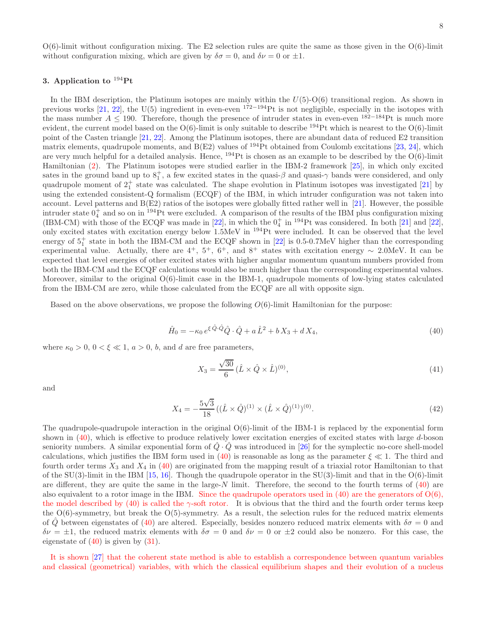$O(6)$ -limit without configuration mixing. The E2 selection rules are quite the same as those given in the  $O(6)$ -limit without configuration mixing, which are given by  $\delta \sigma = 0$ , and  $\delta \nu = 0$  or  $\pm 1$ .

#### 3. Application to  $^{194}$ Pt

In the IBM description, the Platinum isotopes are mainly within the  $U(5)-O(6)$  transitional region. As shown in previous works [\[21,](#page-17-16) [22](#page-17-17)], the U(5) ingredient in even-even  $172-194$  Pt is not negligible, especially in the isotopes with the mass number  $A \le 190$ . Therefore, though the presence of intruder states in even-even <sup>182–184</sup>Pt is much more evident, the current model based on the  $O(6)$ -limit is only suitable to describe <sup>194</sup>Pt which is nearest to the  $O(6)$ -limit point of the Casten triangle [\[21](#page-17-16), [22\]](#page-17-17). Among the Platinum isotopes, there are abundant data of reduced E2 transition matrix elements, quadrupole moments, and  $B(E2)$  values of <sup>194</sup>Pt obtained from Coulomb excitations [\[23](#page-17-18), [24](#page-17-19)], which are very much helpful for a detailed analysis. Hence,  $^{194}$ Pt is chosen as an example to be described by the O(6)-limit Hamiltonian [\(2\)](#page-4-0). The Platinum isotopes were studied earlier in the IBM-2 framework [\[25\]](#page-17-20), in which only excited sates in the ground band up to  $8^+_1$ , a few excited states in the quasi- $\beta$  and quasi- $\gamma$  bands were considered, and only quadrupole moment of  $2^+_1$  state was calculated. The shape evolution in Platinum isotopes was investigated [\[21](#page-17-16)] by using the extended consistent-Q formalism (ECQF) of the IBM, in which intruder configuration was not taken into account. Level patterns and  $B(E2)$  ratios of the isotopes were globally fitted rather well in [\[21](#page-17-16)]. However, the possible intruder state  $0^+_4$  and so on in <sup>194</sup>Pt were excluded. A comparison of the results of the IBM plus configuration mixing (IBM-CM) with those of the ECQF was made in [\[22\]](#page-17-17), in which the  $0<sub>4</sub><sup>+</sup>$  in <sup>194</sup>Pt was considered. In both [\[21\]](#page-17-16) and [22], only excited states with excitation energy below 1.5MeV in <sup>194</sup>Pt were included. It can be observed that the level energy of  $5^+_1$  state in both the IBM-CM and the ECQF shown in [\[22](#page-17-17)] is 0.5-0.7MeV higher than the corresponding experimental value. Actually, there are  $4^+$ ,  $5^+$ ,  $6^+$ , and  $8^+$  states with excitation energy ~ 2.0MeV. It can be expected that level energies of other excited states with higher angular momentum quantum numbers provided from both the IBM-CM and the ECQF calculations would also be much higher than the corresponding experimental values. Moreover, similar to the original O(6)-limit case in the IBM-1, quadrupole moments of low-lying states calculated from the IBM-CM are zero, while those calculated from the ECQF are all with opposite sign.

Based on the above observations, we propose the following  $O(6)$ -limit Hamiltonian for the purpose:

<span id="page-10-0"></span>
$$
\hat{H}_0 = -\kappa_0 e^{\xi \hat{Q} \cdot \hat{Q}} \hat{Q} \cdot \hat{Q} + a \hat{L}^2 + b X_3 + d X_4, \tag{40}
$$

where  $\kappa_0 > 0$ ,  $0 < \xi \ll 1$ ,  $a > 0$ , b, and d are free parameters,

$$
X_3 = \frac{\sqrt{30}}{6} (\hat{L} \times \hat{Q} \times \hat{L})^{(0)},
$$
\n(41)

and

$$
X_4 = -\frac{5\sqrt{3}}{18} \left( (\hat{L} \times \hat{Q})^{(1)} \times (\hat{L} \times \hat{Q})^{(1)} \right)^{(0)}.
$$
\n(42)

The quadrupole-quadrupole interaction in the original  $O(6)$ -limit of the IBM-1 is replaced by the exponential form shown in [\(40\)](#page-10-0), which is effective to produce relatively lower excitation energies of excited states with large d-boson seniority numbers. A similar exponential form of  $\hat{Q} \cdot \hat{Q}$  was introduced in [\[26\]](#page-17-21) for the symplectic no-core shell-model calculations, which justifies the IBM form used in [\(40\)](#page-10-0) is reasonable as long as the parameter  $\xi \ll 1$ . The third and fourth order terms  $X_3$  and  $X_4$  in [\(40\)](#page-10-0) are originated from the mapping result of a triaxial rotor Hamiltonian to that of the  $SU(3)$ -limit in the IBM [\[15](#page-17-10), [16\]](#page-17-11). Though the quadrupole operator in the  $SU(3)$ -limit and that in the  $O(6)$ -limit are different, they are quite the same in the large-N limit. Therefore, the second to the fourth terms of  $(40)$  are also equivalent to a rotor image in the IBM. Since the quadrupole operators used in  $(40)$  are the generators of  $O(6)$ , the model described by [\(40\)](#page-10-0) is called the γ-soft rotor. It is obvious that the third and the fourth order terms keep the  $O(6)$ -symmetry, but break the  $O(5)$ -symmetry. As a result, the selection rules for the reduced matrix elements of Q between eigenstates of [\(40\)](#page-10-0) are altered. Especially, besides nonzero reduced matrix elements with  $\delta\sigma = 0$  and  $\delta \nu = \pm 1$ , the reduced matrix elements with  $\delta \sigma = 0$  and  $\delta \nu = 0$  or  $\pm 2$  could also be nonzero. For this case, the eigenstate of  $(40)$  is given by  $(31)$ .

It is shown [\[27](#page-17-22)] that the coherent state method is able to establish a correspondence between quantum variables and classical (geometrical) variables, with which the classical equilibrium shapes and their evolution of a nucleus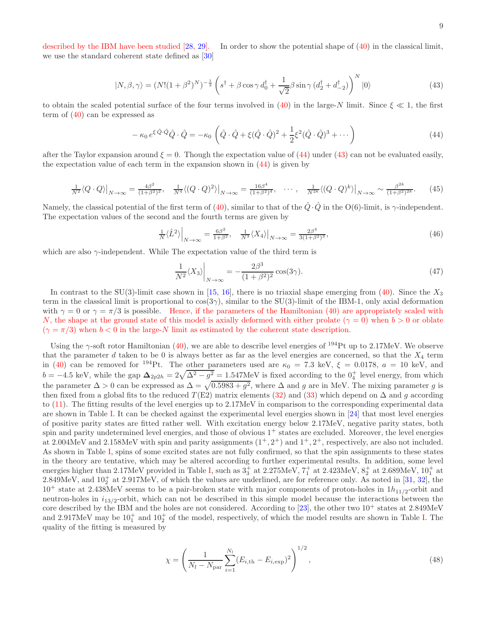described by the IBM have been studied [\[28,](#page-17-23) [29\]](#page-17-24). In order to show the potential shape of [\(40\)](#page-10-0) in the classical limit, we use the standard coherent state defined as [\[30\]](#page-17-25)

<span id="page-11-1"></span>
$$
|N, \beta, \gamma\rangle = (N!(1+\beta^2)^N)^{-\frac{1}{2}} \left(s^\dagger + \beta\cos\gamma d_0^\dagger + \frac{1}{\sqrt{2}}\beta\sin\gamma (d_2^\dagger + d_{-2}^\dagger)\right)^N |0\rangle \tag{43}
$$

to obtain the scaled potential surface of the four terms involved in [\(40\)](#page-10-0) in the large-N limit. Since  $\xi \ll 1$ , the first term of [\(40\)](#page-10-0) can be expressed as

<span id="page-11-0"></span>
$$
-\kappa_0 e^{\xi \hat{Q} \cdot \hat{Q}} \hat{Q} \cdot \hat{Q} = -\kappa_0 \left( \hat{Q} \cdot \hat{Q} + \xi (\hat{Q} \cdot \hat{Q})^2 + \frac{1}{2} \xi^2 (\hat{Q} \cdot \hat{Q})^3 + \cdots \right)
$$
(44)

after the Taylor expansion around  $\xi = 0$ . Though the expectation value of [\(44\)](#page-11-0) under [\(43\)](#page-11-1) can not be evaluated easily, the expectation value of each term in the expansion shown in [\(44\)](#page-11-0) is given by

$$
\frac{1}{N^2} \langle Q \cdot Q \rangle \big|_{N \to \infty} = \frac{4\beta^2}{(1+\beta^2)^2}, \quad \frac{1}{N^4} \langle (Q \cdot Q)^2 \rangle \big|_{N \to \infty} = \frac{16\beta^4}{(1+\beta^2)^4}, \quad \cdots, \quad \frac{1}{N^{2k}} \langle (Q \cdot Q)^k \rangle \big|_{N \to \infty} \sim \frac{\beta^{2k}}{(1+\beta^2)^{2k}}. \tag{45}
$$

Namely, the classical potential of the first term of [\(40\)](#page-10-0), similar to that of the  $\hat{Q} \cdot \hat{Q}$  in the O(6)-limit, is  $\gamma$ -independent. The expectation values of the second and the fourth terms are given by

$$
\frac{1}{N}\langle \hat{L}^2 \rangle \Big|_{N \to \infty} = \frac{6\beta^2}{1+\beta^2}, \quad \frac{1}{N^3} \langle X_4 \rangle \Big|_{N \to \infty} = \frac{2\beta^4}{3(1+\beta^2)^3},\tag{46}
$$

which are also  $\gamma$ -independent. While The expectation value of the third term is

$$
\frac{1}{N^2} \langle X_3 \rangle \bigg|_{N \to \infty} = -\frac{2\beta^3}{(1+\beta^2)^2} \cos(3\gamma). \tag{47}
$$

In contrast to the SU(3)-limit case shown in [\[15,](#page-17-10) [16](#page-17-11)], there is no triaxial shape emerging from [\(40\)](#page-10-0). Since the  $X_3$ term in the classical limit is proportional to  $\cos(3\gamma)$ , similar to the SU(3)-limit of the IBM-1, only axial deformation with  $\gamma = 0$  or  $\gamma = \pi/3$  is possible. Hence, if the parameters of the Hamiltonian [\(40\)](#page-10-0) are appropriately scaled with N, the shape at the ground state of this model is axially deformed with either prolate ( $\gamma = 0$ ) when  $b > 0$  or oblate  $(\gamma = \pi/3)$  when  $b < 0$  in the large-N limit as estimated by the coherent state description.

Using the  $\gamma$ -soft rotor Hamiltonian [\(40\)](#page-10-0), we are able to describe level energies of <sup>194</sup>Pt up to 2.17MeV. We observe that the parameter  $d$  taken to be 0 is always better as far as the level energies are concerned, so that the  $X_4$  term in [\(40\)](#page-10-0) can be removed for <sup>194</sup>Pt. The other parameters used are  $\kappa_0 = 7.3$  keV,  $\xi = 0.0178$ ,  $a = 10$  keV, and  $b = -4.5$  keV, while the gap  $\Delta_{2p2h} = 2\sqrt{\Delta^2 - g^2} = 1.547$ MeV is fixed according to the  $0^+_4$  level energy, from which the parameter  $\Delta > 0$  can be expressed as  $\Delta = \sqrt{0.5983 + g^2}$ , where  $\Delta$  and g are in MeV. The mixing parameter g is then fixed from a global fits to the reduced  $T(E2)$  matrix elements [\(32\)](#page-9-0) and [\(33\)](#page-9-1) which depend on  $\Delta$  and g according to [\(11\)](#page-5-6). The fitting results of the level energies up to 2.17MeV in comparison to the corresponding experimental data are shown in Table [I.](#page-14-0) It can be checked against the experimental level energies shown in [\[24](#page-17-19)] that most level energies of positive parity states are fitted rather well. With excitation energy below 2.17MeV, negative parity states, both spin and parity undetermined level energies, and those of obvious  $1<sup>+</sup>$  states are excluded. Moreover, the level energies at 2.004MeV and 2.158MeV with spin and parity assignments  $(1^+, 2^+)$  and  $1^+, 2^+$ , respectively, are also not included. As shown in Table [I,](#page-14-0) spins of some excited states are not fully confirmed, so that the spin assignments to these states in the theory are tentative, which may be altered according to further experimental results. In addition, some level energies higher than 2.17MeV provided in Table [I,](#page-14-0) such as  $3^+_3$  at 2.275MeV,  $7^+_1$  at 2.423MeV,  $8^+_2$  at 2.689MeV,  $10^+_1$  at  $2.849\text{MeV}$ , and  $10<sub>2</sub><sup>+</sup>$  at  $2.917\text{MeV}$ , of which the values are underlined, are for reference only. As noted in [\[31,](#page-17-26) [32\]](#page-17-27), the  $10^+$  state at 2.438MeV seems to be a pair-broken state with major components of proton-holes in  $1h_{11/2}$ -orbit and neutron-holes in  $i_{13/2}$ -orbit, which can not be described in this simple model because the interactions between the core described by the IBM and the holes are not considered. According to [\[23\]](#page-17-18), the other two  $10^+$  states at 2.849MeV and 2.917MeV may be  $10_1^+$  and  $10_2^+$  of the model, respectively, of which the model results are shown in Table [I.](#page-14-0) The quality of the fitting is measured by

$$
\chi = \left(\frac{1}{N_l - N_{\text{par}}}\sum_{i=1}^{N_l} (E_{i,\text{th}} - E_{i,\text{exp}})^2\right)^{1/2},\tag{48}
$$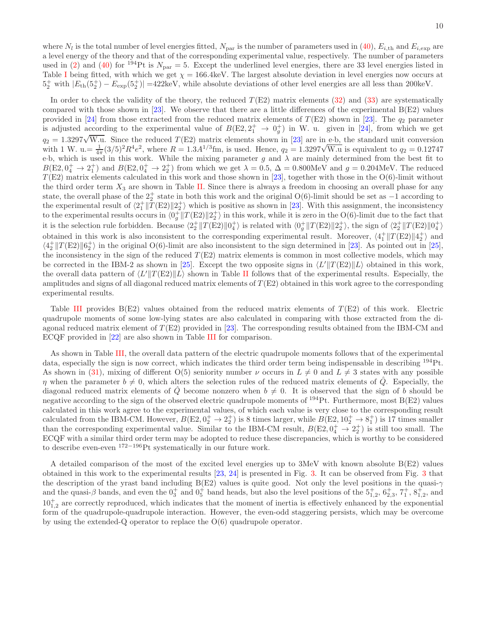where  $N_l$  is the total number of level energies fitted,  $N_{\text{par}}$  is the number of parameters used in [\(40\)](#page-10-0),  $E_{i, \text{th}}$  and  $E_{i, \text{exp}}$  are a level energy of the theory and that of the corresponding experimental value, respectively. The number of parameters used in [\(2\)](#page-4-0) and [\(40\)](#page-10-0) for  $^{194}$ Pt is  $N_{\text{par}} = 5$ . Except the underlined level energies, there are 33 level energies listed in Table [I](#page-14-0) being fitted, with which we get  $\chi = 166.4 \text{keV}$ . The largest absolute deviation in level energies now occurs at  $5^+_2$  with  $|E_{\text{th}}(5^+_2) - E_{\text{exp}}(5^+_2)| = 422 \text{keV}$ , while absolute deviations of other level energies are all less than 200keV.

In order to check the validity of the theory, the reduced  $T(E2)$  matrix elements [\(32\)](#page-9-0) and [\(33\)](#page-9-1) are systematically compared with those shown in [\[23\]](#page-17-18). We observe that there are a little differences of the experimental  $B(E2)$  values provided in [\[24](#page-17-19)] from those extracted from the reduced matrix elements of  $T(E2)$  shown in [\[23\]](#page-17-18). The  $q_2$  parameter is adjusted according to the experimental value of  $B(E2, 2^+_1 \rightarrow 0^+_g)$  in W. u. given in [\[24](#page-17-19)], from which we get  $q_2 = 1.3297\sqrt{W.u.}$  Since the reduced  $T(E2)$  matrix elements shown in [\[23](#page-17-18)] are in e-b, the standard unit conversion with 1 W. u.=  $\frac{1}{4\pi} (3/5)^2 R^4 e^2$ , where  $R = 1.3A^{1/3}$  fm, is used. Hence,  $q_2 = 1.3297 \sqrt{W}$ .u is equivalent to  $q_2 = 0.12747$ eb, which is used in this work. While the mixing parameter g and  $\lambda$  are mainly determined from the best fit to  $B(E2, 0<sub>4</sub><sup>+</sup> \rightarrow 2<sub>1</sub><sup>+</sup>)$  and  $B(E2, 0<sub>4</sub><sup>+</sup> \rightarrow 2<sub>2</sub><sup>+</sup>)$  from which we get  $\lambda = 0.5$ ,  $\Delta = 0.800$ MeV and  $g = 0.204$ MeV. The reduced  $T(E2)$  matrix elements calculated in this work and those shown in [\[23\]](#page-17-18), together with those in the O(6)-limit without the third order term  $X_3$  are shown in Table [II.](#page-15-0) Since there is always a freedom in choosing an overall phase for any state, the overall phase of the  $2^+_2$  state in both this work and the original O(6)-limit should be set as  $-1$  according to the experimental result of  $\langle 2_1^+ \| \overline{T}(E2) \| 2_2^+ \rangle$  which is positive as shown in [\[23\]](#page-17-18). With this assignment, the inconsistency to the experimental results occurs in  $\langle 0_g^+ \| T(\text{E2}) \| 2_z^+ \rangle$  in this work, while it is zero in the O(6)-limit due to the fact that it is the selection rule forbidden. Because  $\langle 2^+_2 || T(E2) || 0^+_4 \rangle$  is related with  $\langle 0^+_g || T(E2) || 2^+_2 \rangle$ , the sign of  $\langle 2^+_2 || T(E2) || 0^+_4 \rangle$ obtained in this work is also inconsistent to the corresponding experimental result. Moreover,  $\langle 4_1^+ \| T(E2) \| 4_2^+ \rangle$  and  $\langle 4_2^+ \| T(E2) \| 6_2^+ \rangle$  in the original O(6)-limit are also inconsistent to the sign determined in [\[23](#page-17-18)]. As pointed out in [\[25\]](#page-17-20), the inconsistency in the sign of the reduced  $T(E2)$  matrix elements is common in most collective models, which may be corrected in the IBM-2 as shown in [\[25](#page-17-20)]. Except the two opposite signs in  $\langle L' || T(E2) || L \rangle$  obtained in this work, the overall data pattern of  $\langle L' || T(E2) || L \rangle$  shown in Table [II](#page-15-0) follows that of the experimental results. Especially, the amplitudes and signs of all diagonal reduced matrix elements of  $T(E2)$  obtained in this work agree to the corresponding experimental results.

Table [III](#page-16-0) provides  $B(E2)$  values obtained from the reduced matrix elements of  $T(E2)$  of this work. Electric quadrupole moments of some low-lying states are also calculated in comparing with those extracted from the diagonal reduced matrix element of  $T(E2)$  provided in [\[23](#page-17-18)]. The corresponding results obtained from the IBM-CM and ECQF provided in [\[22\]](#page-17-17) are also shown in Table [III](#page-16-0) for comparison.

As shown in Table [III,](#page-16-0) the overall data pattern of the electric quadrupole moments follows that of the experimental data, especially the sign is now correct, which indicates the third order term being indispensable in describing <sup>194</sup>Pt. As shown in [\(31\)](#page-9-2), mixing of different O(5) seniority number  $\nu$  occurs in  $L \neq 0$  and  $L \neq 3$  states with any possible  $\eta$  when the parameter  $b \neq 0$ , which alters the selection rules of the reduced matrix elements of  $\hat{Q}$ . Especially, the diagonal reduced matrix elements of  $\hat{Q}$  become nonzero when  $b \neq 0$ . It is observed that the sign of b should be negative according to the sign of the observed electric quadrupole moments of  $^{194}$ Pt. Furthermore, most B(E2) values calculated in this work agree to the experimental values, of which each value is very close to the corresponding result calculated from the IBM-CM. However,  $B(E2, 0_2^+ \rightarrow 2_2^+)$  is 8 times larger, while  $B(E2, 10_2^+ \rightarrow 8_1^+)$  is 17 times smaller than the corresponding experimental value. Similar to the IBM-CM result,  $B(E2, 0<sub>4</sub><sup>+</sup> \rightarrow 2<sub>2</sub><sup>+</sup>)$  is still too small. The ECQF with a similar third order term may be adopted to reduce these discrepancies, which is worthy to be considered to describe even-even <sup>172</sup>−<sup>196</sup>Pt systematically in our future work.

A detailed comparison of the most of the excited level energies up to 3MeV with known absolute B(E2) values obtained in this work to the experimental results [\[23](#page-17-18), [24](#page-17-19)] is presented in Fig. [3.](#page-13-0) It can be observed from Fig. [3](#page-13-0) that the description of the yrast band including B(E2) values is quite good. Not only the level positions in the quasi-γ and the quasi- $\beta$  bands, and even the  $0_3^+$  and  $0_5^+$  band heads, but also the level positions of the  $5^+_{1,2}$ ,  $6^+_{2,3}$ ,  $7^+_1$ ,  $8^+_{1,2}$ , and  $10^{+}_{1,2}$  are correctly reproduced, which indicates that the moment of inertia is effectively enhanced by the exponential form of the quadrupole-quadrupole interaction. However, the even-odd staggering persists, which may be overcome by using the extended-Q operator to replace the  $O(6)$  quadrupole operator.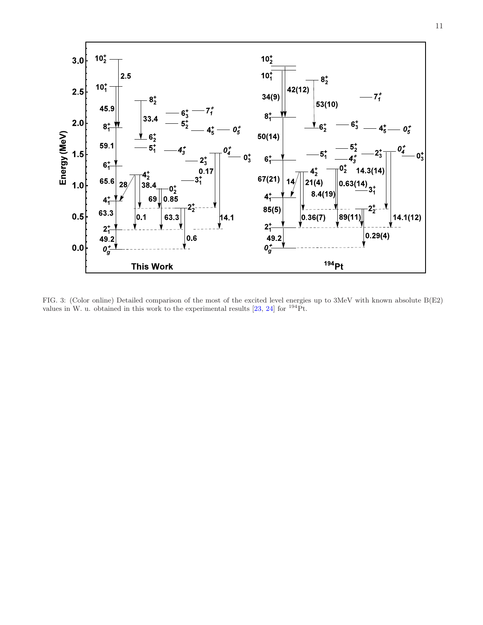

<span id="page-13-0"></span>FIG. 3: (Color online) Detailed comparison of the most of the excited level energies up to 3MeV with known absolute B(E2) values in W. u. obtained in this work to the experimental results [\[23](#page-17-18), [24](#page-17-19)] for  $^{194}$ Pt.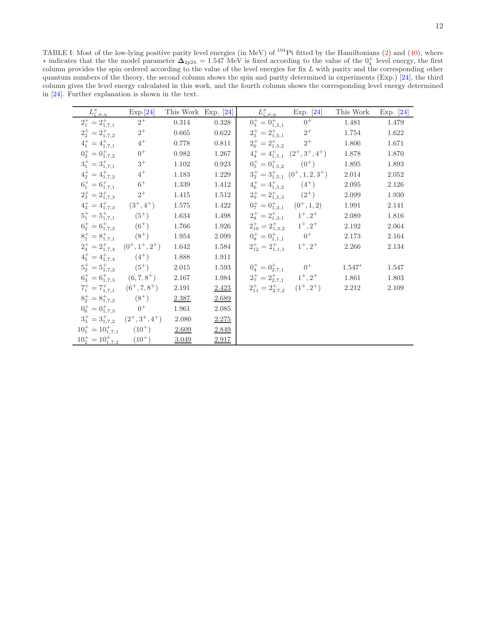<span id="page-14-0"></span>TABLE I: Most of the low-lying positive parity level energies (in MeV) of  $^{194}$ Pt fitted by the Hamiltonians [\(2\)](#page-4-0) and [\(40\)](#page-10-0), where ∗ indicates that the the model parameter  $\Delta_{2p2h} = 1.547$  MeV is fixed according to the value of the  $0^+_4$  level energy, the first column provides the spin ordered according to the value of the level energies for fix L with parity and the corresponding other quantum numbers of the theory, the second column shows the spin and parity determined in experiments (Exp.) [\[24](#page-17-19)], the third column gives the level energy calculated in this work, and the fourth column shows the corresponding level energy determined in [\[24](#page-17-19)]. Further explanation is shown in the text.

|                                                           | Exp.[24]                                      | This Work Exp. [24] |           |                                         | $L^{\pi}_{\zeta,\sigma,\eta}$ Exp. [24]                    | This Work | Exp. $[24]$ |
|-----------------------------------------------------------|-----------------------------------------------|---------------------|-----------|-----------------------------------------|------------------------------------------------------------|-----------|-------------|
| $\frac{L_{\zeta,\sigma,\eta}^{\pi}}{2_1^+ = 2_{1,7,1}^+}$ | $2^+$                                         | $0.314\,$           | 0.328     | $0_3^+ = 0_{1.5,1}^+$ $0^+$             |                                                            | 1.481     | 1.479       |
| $2^+_2 = 2^+_{1,7,2}$                                     | $2^+$                                         | 0.665               | $0.622\,$ |                                         |                                                            | $1.754\,$ | 1.622       |
| $4^+_1 = 4^+_{1,7,1}$                                     | $4^+$                                         | 0.778               | 0.811     |                                         | $2^+_5 = 2^+_{1,5,1}$ $2^+$<br>$2^+_6 = 2^+_{1,5,2}$ $2^+$ | 1.806     | 1.671       |
| $0^+_2 = 0^+_{1,7,2}$                                     | $0^+$                                         | 0.982               | 1.267     |                                         | $4^+_4 = 4^+_{1,5,1}$ $(2^+,3^+,4^+)$                      | 1.878     | 1.870       |
| $3^+_1 = 3^+_{1,7,1}$                                     | $3^+$                                         | 1.102               | 0.923     | $0^+_5 = 0^+_{1,5,2}$ (0 <sup>+</sup> ) |                                                            | 1.895     | 1.893       |
| $4^{+}_{2} = 4^{+}_{1.7.2}$                               | $4^+$                                         | 1.183               | 1.229     |                                         | $3^+_2 = 3^+_{1,5,1}$ $(0^+, 1, 2, 3^+)$                   | 2.014     | $2.052\,$   |
| $6^{+}_{1} = 6^{+}_{1.7.1}$                               | $6^+$                                         | 1.339               | 1.412     |                                         | $4^+_6 = 4^+_{1,5,2}$ $(4^+)$                              | $2.095\,$ | 2.126       |
| $2^+_3 = 2^+_{1,7,3}$                                     | $2^+$                                         | 1.415               | 1.512     |                                         | $2_9^+ = 2_{1,5,3}^+$ $(2^+)$                              | 2.099     | 1.930       |
| $4^+_3 = 4^+_{1,7,3}$ $(3^+,4^+)$                         |                                               | 1.575               | 1.422     |                                         | $0^+_{7} = 0^+_{1,3,1}$ $(0^+, 1, 2)$                      | 1.991     | 2.141       |
| $5^+_1 = 5^+_{1.7.1}$ (5 <sup>+</sup> )                   |                                               | 1.634               | $1.498\,$ |                                         | $2^+_8 = 2^+_{1,3,1}$ $1^+, 2^+$                           | $2.089\,$ | 1.816       |
|                                                           | $6^{+}_{2} = 6^{+}_{1.7.2}$ (6 <sup>+</sup> ) | 1.766               | 1.926     |                                         | $2_{10}^+ = 2_{1,3,2}^+$ $1^+, 2^+$                        | 2.192     | 2.064       |
|                                                           | $8_1^+ = 8_{1.7,1}^+$ (8 <sup>+</sup> )       | 1.954               | 2.099     | $0_8^+ = 0_{1,1,1}^+$ 0 <sup>+</sup>    |                                                            | 2.173     | 2.164       |
|                                                           | $2^+_4 = 2^+_{1,7,4}$ $(0^+, 1^+, 2^+)$       | 1.642               | 1.584     | $2_{12}^+ = 2_{1,1,1}^+$ $1^+, 2^+$     |                                                            | $2.266\,$ | 2.134       |
|                                                           | $4^+_5 = 4^+_{1,7,4}$ (4 <sup>+</sup> )       | 1.888               | 1.911     |                                         |                                                            |           |             |
|                                                           | $5^+_2 = 5^+_{1,7,2}$ (5 <sup>+</sup> )       | 2.015               | 1.593     |                                         | $0^+_4 = 0^+_{2,7,1}$ $0^+$                                | $1.547*$  | 1.547       |
|                                                           | $6_3^+ = 6_{1,7,3}^+$ $(6,7,8^+)$ 2.167       |                     | 1.984     |                                         | $2^+_{7} = 2^+_{2,7,1}$ $1^+,2^+$ 1.861                    |           | 1.803       |
|                                                           | $7^+_1 = 7^+_{1.7,1}$ $(6^+, 7, 8^+)$         | 2.191               | 2.423     |                                         | $2_{11}^+ = 2_{2,7,2}^+$ $(1^+, 2^+)$ 2.212                |           | 2.109       |
| $8^+_2 = 8^+_{1,7,2}$ (8 <sup>+</sup> )                   |                                               | 2.387               | 2.689     |                                         |                                                            |           |             |
| $0_6^+ = 0_{1,7,3}^+$ $0^+$                               |                                               | 1.961               | 2.085     |                                         |                                                            |           |             |
|                                                           | $3^+_3 = 3^+_{1,7,2}$ $(2^+, 3^+, 4^+)$       | $2.080\,$           | 2.275     |                                         |                                                            |           |             |
| $10_1^+ = 10_{1,7,1}^+$ (10 <sup>+</sup> )                |                                               | 2.609               | 2.849     |                                         |                                                            |           |             |
| $10^{+}_{2} = 10^{+}_{1.7,2}$ $(10^{+})$                  |                                               | 3.049               | 2.917     |                                         |                                                            |           |             |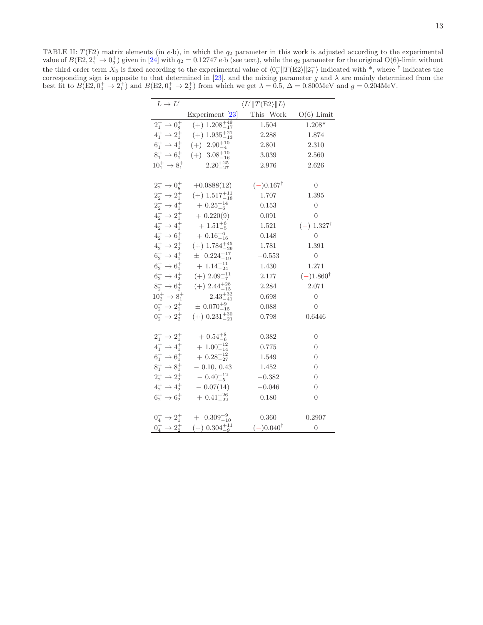<span id="page-15-0"></span>TABLE II:  $T(E2)$  matrix elements (in e·b), in which the  $q_2$  parameter in this work is adjusted according to the experimental value of  $B(E2, 2^+_1 \rightarrow 0^+_g)$  given in [\[24](#page-17-19)] with  $q_2 = 0.12747$  e·b (see text), while the  $q_2$  parameter for the original O(6)-limit without the third order term  $X_3$  is fixed according to the experimental value of  $\langle 0_g^+ \| T(E2) \| 2_I^+ \rangle$  indicated with \*, where  $\dagger$  indicates the corresponding sign is opposite to that determined in [\[23](#page-17-18)], and the mixing parameter g and  $\lambda$  are mainly determined from the best fit to  $B(E2, 0<sub>4</sub><sup>+</sup> \rightarrow 2<sub>1</sub><sup>+</sup>)$  and  $B(E2, 0<sub>4</sub><sup>+</sup> \rightarrow 2<sub>2</sub><sup>+</sup>)$  from which we get  $\lambda = 0.5$ ,  $\Delta = 0.800 \text{MeV}$  and  $g = 0.204 \text{MeV}$ .

| $L \rightarrow L'$                 | $\langle L'    T(E2    L \rangle$                   |                      |                       |  |  |  |
|------------------------------------|-----------------------------------------------------|----------------------|-----------------------|--|--|--|
|                                    | Experiment [23]                                     | This Work            | $O(6)$ Limit          |  |  |  |
| $2^+_1 \rightarrow 0^+_q$          | $(+)$ 1.208 $^{+49}_{-17}$                          | 1.504                | $1.208*$              |  |  |  |
| $4^+_1 \rightarrow 2^+_1$          | $(+)$ 1.935 $^{+21}_{-13}$                          | 2.288                | 1.874                 |  |  |  |
| $6^+_1 \rightarrow 4^+_1$          | $(+)$ 2.90 $^{+10}_{-4}$                            | 2.801                | 2.310                 |  |  |  |
| $8^+_1 \rightarrow 6^+_1$          | $(+)$ 3.08 $^{+10}_{-16}$                           | 3.039                | 2.560                 |  |  |  |
| $10_1^+ \rightarrow 8_1^+$         | $2.20^{+25}_{-27}$                                  | 2.976                | 2.626                 |  |  |  |
|                                    |                                                     |                      |                       |  |  |  |
| $2^{+}_{2} \rightarrow 0^{+}_{q}$  | $+0.0888(12)$                                       | $(-)0.167^{\dagger}$ | $\overline{0}$        |  |  |  |
| $2^+_2\rightarrow 2^+_1$           | $(+)$ 1.517 $^{+11}_{-18}$                          | 1.707                | 1.395                 |  |  |  |
| $2^+_2 \rightarrow 4^+_1$          | $+$ 0.25 $^{+14}_{-6}$                              | 0.153                | $\overline{0}$        |  |  |  |
| $4^+_2 \rightarrow 2^+_1$          | $+ 0.220(9)$                                        | 0.091                | $\overline{0}$        |  |  |  |
| $4^{+}_{2} \rightarrow 4^{+}_{1}$  | $+1.51^{+6}_{-5}$                                   | 1.521                | $(-) 1.327^{\dagger}$ |  |  |  |
| $4^+_2 \rightarrow 6^+_1$          | $+ 0.16^{+6}_{-16}$                                 | 0.148                | $\theta$              |  |  |  |
| $4^+_2 \rightarrow 2^+_2$          | $(+)$ 1.784 $^{+45}_{-29}$                          | 1.781                | 1.391                 |  |  |  |
| $6^+_2 \rightarrow 4^+_1$          | $\pm$ 0.224 <sup><math>+17</math></sup>             | $-0.553$             | $\overline{0}$        |  |  |  |
| $6^+_2 \rightarrow 6^+_1$          | $+1.14_{-24}^{+11}$                                 | 1.430                | 1.271                 |  |  |  |
| $6^+_2\rightarrow 4^+_2$           | $(+)$ 2.09 $^{+11}_{-7}$                            | 2.177                | $(-)1.860^{\dagger}$  |  |  |  |
| $8^+_2 \rightarrow 6^+_2$          | $(+)$ 2.44 $^{+28}_{-15}$                           | 2.284                | 2.071                 |  |  |  |
| $10^{+}_{2} \rightarrow 8^{+}_{1}$ | $2.43_{-41}^{+32}$                                  | 0.698                | $\overline{0}$        |  |  |  |
| $0^+_2 \rightarrow 2^+_1$          | $\pm$ 0.070 <sup>+9</sup> <sub>-15</sub>            | 0.088                | 0                     |  |  |  |
| $0^+_2 \rightarrow 2^+_2$          | $(+)$ 0.231 $^{+30}_{-21}$                          | 0.798                | 0.6446                |  |  |  |
|                                    |                                                     |                      |                       |  |  |  |
| $2^+_1 \rightarrow 2^+_1$          | $+$ 0.54 $^{+8}_{-6}$                               | 0.382                | $\overline{0}$        |  |  |  |
| $4^+_1 \rightarrow 4^+_1$          | $+ 1.00_{-14}^{+12}$                                | 0.775                | $\overline{0}$        |  |  |  |
| $6^+_1 \rightarrow 6^+_1$          | $+ 0.28^{+12}_{-27}$                                | 1.549                | 0                     |  |  |  |
| $8^+_1 \rightarrow 8^+_1$          | $-0.10, 0.43$                                       | 1.452                | 0                     |  |  |  |
| $2^+_2 \rightarrow 2^+_2$          | $-0.40^{+12}_{-5}$                                  | $-0.382$             | 0                     |  |  |  |
| $4^+_2 \rightarrow 4^+_2$          | $-0.07(14)$                                         | $-0.046$             | 0                     |  |  |  |
| $6^+_2 \rightarrow 6^+_2$          | $+$ 0.41 $^{+26}_{-22}$                             | 0.180                | 0                     |  |  |  |
|                                    |                                                     |                      |                       |  |  |  |
| $0^+_4 \to 2^+_1$                  | $+$ 0.309 <sup><math>+9</math></sup> <sub>-10</sub> | 0.360                | 0.2907                |  |  |  |
| $0^+_4\to 2^+_2$                   | $(+)$ 0.304 $^{+11}_{-9}$                           | $(-)0.040^{\dagger}$ | $\overline{0}$        |  |  |  |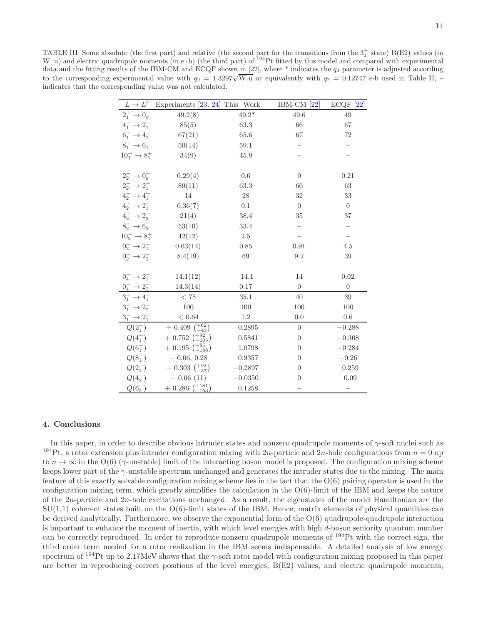<span id="page-16-0"></span>TABLE III: Some absolute (the first part) and relative (the second part for the transitions from the  $3^+_1$  state) B(E2) values (in W. u) and electric quadrupole moments (in  $e \cdot b$ ) (the third part) of  $^{194}$ Pt fitted by this model and compared with experimental data and the fitting results of the IBM-CM and ECQF shown in [\[22\]](#page-17-17), where \* indicates the  $q_2$  parameter is adjusted according to the corresponding experimental value with  $q_2 = 1.3297\sqrt{W.u}$  or equivalently with  $q_2 = 0.12747$  e·b used in Table [II,](#page-15-0) – indicates that the corresponding value was not calculated.

| $L\to L'$                                                 | Experiments $[23, 24]$ This Work |             | $IBM-CM [22]$  | $ECQF$ [22]    |
|-----------------------------------------------------------|----------------------------------|-------------|----------------|----------------|
| $2^+_1 \rightarrow 0^+_q$                                 | 49.2(8)                          | $49.2*$     | 49.6           | 49             |
| $4^+_1 \rightarrow 2^+_1$                                 | 85(5)                            | 63.3        | 66             | 67             |
| $6^+_1 \rightarrow 4^+_1$                                 | 67(21)                           | 65.6        | 67             | $72\,$         |
| $8^+_1 \rightarrow 6^+_1$                                 | 50(14)                           | 59.1        |                |                |
| $10_1^+ \rightarrow 8_1^+$                                | 34(9)                            | 45.9        |                |                |
|                                                           |                                  |             |                |                |
| $2^{+}_{2} \rightarrow 0^{+}_{q}$                         | 0.29(4)                          | 0.6         | $\overline{0}$ | 0.21           |
| $2^+_2 \rightarrow 2^+_1$                                 | 89(11)                           | 63.3        | 66             | 63             |
| $4^+_2 \rightarrow 4^+_1$                                 | 14                               | $\sqrt{28}$ | 32             | $33\,$         |
| $4^+_2 \rightarrow 2^+_1$                                 | 0.36(7)                          | 0.1         | $\theta$       | $\overline{0}$ |
| $4^+_2 \rightarrow 2^+_2$                                 | 21(4)                            | 38.4        | 35             | 37             |
| $8^+_2 \rightarrow 6^+_2$                                 | 53(10)                           | 33.4        |                |                |
| $10^{+}_{2} \rightarrow 8^{+}_{1}$                        | 42(12)                           | $2.5\,$     |                |                |
| $0^+_2 \rightarrow 2^+_1$                                 | 0.63(14)                         | 0.85        | 0.91           | 4.5            |
| $0^+_2 \rightarrow 2^+_2$                                 | 8.4(19)                          | 69          | 9.2            | 39             |
|                                                           |                                  |             |                |                |
| $0^+_4 \to 2^+_1$                                         | 14.1(12)                         | 14.1        | 14             | 0.02           |
| $\frac{0_4^+ \rightarrow 2_2^+}{3_1^+ \rightarrow 4_1^+}$ | 14.3(14)                         | 0.17        | $\overline{0}$ | $\overline{0}$ |
|                                                           | < 75                             | 35.1        | 40             | 39             |
| $3^+_1 \rightarrow 2^+_2$                                 | 100                              | 100         | 100            | 100            |
| $3^+_1\rightarrow 2^+_1$                                  | $<\,0.64$                        | 1.2         | 0.0            | 0.6            |
| $Q(2_1^+)$                                                | $+$ 0.409 $\binom{+62}{-43}$     | 0.2895      | $\overline{0}$ | $-0.288$       |
| $Q(4_1^+)$                                                | $+$ 0.752 $\binom{+92}{-105}$    | 0.5841      | $\overline{0}$ | $-0.308$       |
| $Q(6_1^+)$                                                | $+$ 0.195 $\binom{+85}{-188}$    | 1.0798      | $\theta$       | $-0.284$       |
| $Q(8^+_1)$                                                | $-0.06, 0.28$                    | 0.9357      | $\overline{0}$ | $-0.26$        |
| $Q(2^{+}_{2})$                                            | $-0.303\ \binom{+93}{-37}$       | $-0.2897$   | $\overline{0}$ | 0.259          |
| $Q(4^{+}_{2})$                                            | $-0.06(11)$                      | $-0.0350$   | $\overline{0}$ | 0.09           |
| $Q(6^{+}_{2})$                                            | $+$ 0.286 $\binom{+181}{-153}$   | 0.1258      |                |                |

#### 4. Conclusions

In this paper, in order to describe obvious intruder states and nonzero quadrupole moments of  $\gamma$ -soft nuclei such as <sup>194</sup>Pt, a rotor extension plus intruder configuration mixing with 2n-particle and 2n-hole configurations from  $n = 0$  up to  $n \to \infty$  in the O(6) (γ-unstable) limit of the interacting boson model is proposed. The configuration mixing scheme keeps lower part of the γ-unstable spectrum unchanged and generates the intruder states due to the mixing. The main feature of this exactly solvable configuration mixing scheme lies in the fact that the O(6) pairing operator is used in the configuration mixing term, which greatly simplifies the calculation in the  $O(6)$ -limit of the IBM and keeps the nature of the  $2n$ -particle and  $2n$ -hole excitations unchanged. As a result, the eigenstates of the model Hamiltonian are the  $SU(1,1)$  coherent states built on the  $O(6)$ -limit states of the IBM. Hence, matrix elements of physical quantities can be derived analytically. Furthermore, we observe the exponential form of the O(6) quadrupole-quadrupole interaction is important to enhance the moment of inertia, with which level energies with high  $d$ -boson seniority quantum number can be correctly reproduced. In order to reproduce nonzero quadrupole moments of <sup>194</sup>Pt with the correct sign, the third order term needed for a rotor realization in the IBM seems indispensable. A detailed analysis of low energy spectrum of  $^{194}$ Pt up to 2.17MeV shows that the  $\gamma$ -soft rotor model with configuration mixing proposed in this paper are better in reproducing correct positions of the level energies, B(E2) values, and electric quadrupole moments,